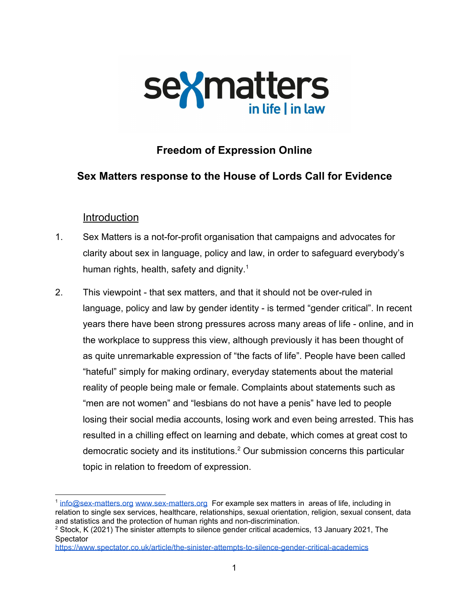

# **Freedom of Expression Online**

## **Sex Matters response to the House of Lords Call for Evidence**

### Introduction

- 1. Sex Matters is a not-for-profit organisation that campaigns and advocates for clarity about sex in language, policy and law, in order to safeguard everybody's human rights, health, safety and dignity.<sup>1</sup>
- 2. This viewpoint that sex matters, and that it should not be over-ruled in language, policy and law by gender identity - is termed "gender critical". In recent years there have been strong pressures across many areas of life - online, and in the workplace to suppress this view, although previously it has been thought of as quite unremarkable expression of "the facts of life". People have been called "hateful" simply for making ordinary, everyday statements about the material reality of people being male or female. Complaints about statements such as "men are not women" and "lesbians do not have a penis" have led to people losing their social media accounts, losing work and even being arrested. This has resulted in a chilling effect on learning and debate, which comes at great cost to democratic society and its institutions.<sup>2</sup> Our submission concerns this particular topic in relation to freedom of expression.

<sup>&</sup>lt;sup>1</sup> [info@sex-matters.org](mailto:info@sex-matters.org) [www.sex-matters.org](http://www.sex-matters.org/) For example sex matters in areas of life, including in relation to single sex services, healthcare, relationships, sexual orientation, religion, sexual consent, data and statistics and the protection of human rights and non-discrimination.

<sup>&</sup>lt;sup>2</sup> Stock, K (2021) The sinister attempts to silence gender critical academics, 13 January 2021, The **Spectator** 

<https://www.spectator.co.uk/article/the-sinister-attempts-to-silence-gender-critical-academics>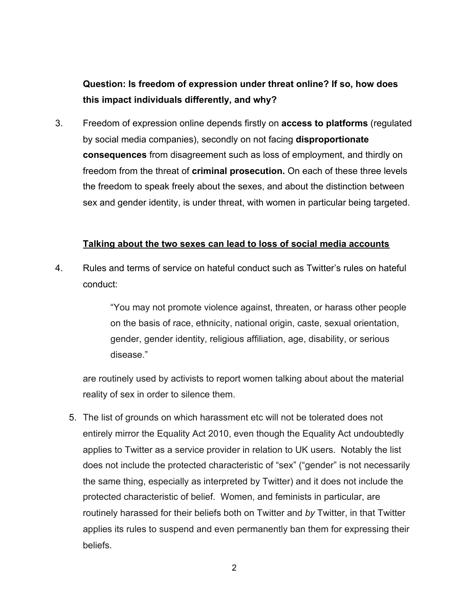# **Question: Is freedom of expression under threat online? If so, how does this impact individuals differently, and why?**

3. Freedom of expression online depends firstly on **access to platforms** (regulated by social media companies), secondly on not facing **disproportionate consequences** from disagreement such as loss of employment, and thirdly on freedom from the threat of **criminal prosecution.** On each of these three levels the freedom to speak freely about the sexes, and about the distinction between sex and gender identity, is under threat, with women in particular being targeted.

#### **Talking about the two sexes can lead to loss of social media accounts**

4. Rules and terms of service on hateful conduct such as Twitter's rules on hateful conduct:

> "You may not promote violence against, threaten, or harass other people on the basis of race, ethnicity, national origin, caste, sexual orientation, gender, gender identity, religious affiliation, age, disability, or serious disease."

are routinely used by activists to report women talking about about the material reality of sex in order to silence them.

5. The list of grounds on which harassment etc will not be tolerated does not entirely mirror the Equality Act 2010, even though the Equality Act undoubtedly applies to Twitter as a service provider in relation to UK users. Notably the list does not include the protected characteristic of "sex" ("gender" is not necessarily the same thing, especially as interpreted by Twitter) and it does not include the protected characteristic of belief. Women, and feminists in particular, are routinely harassed for their beliefs both on Twitter and *by* Twitter, in that Twitter applies its rules to suspend and even permanently ban them for expressing their beliefs.

2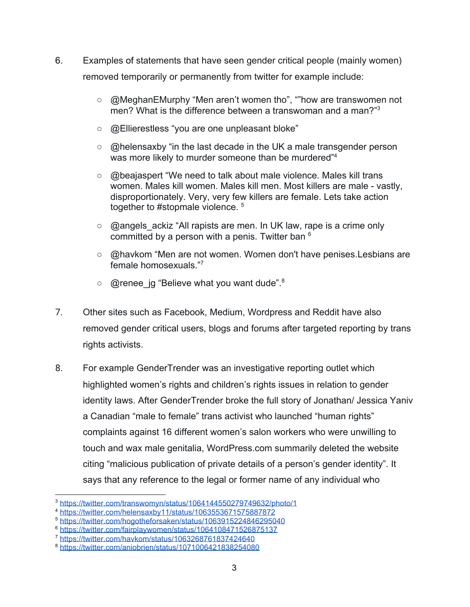- 6. Examples of statements that have seen gender critical people (mainly women) removed temporarily or permanently from twitter for example include:
	- [@MeghanEMurphy](https://twitter.com/MeghanEMurphy) "Men aren't women tho", ""how are transwomen not men? What is the difference between a transwoman and a man?"<sup>3</sup>
	- @Ellierestless "you are one unpleasant bloke"
	- @helensaxby "in the last decade in the UK a male transgender person was more likely to murder someone than be murdered<sup>"4</sup>
	- @ beajaspert "We need to talk about male violence. Males kill trans women. Males kill women. Males kill men. Most killers are male - vastly, disproportionately. Very, very few killers are female. Lets take action together to #stopmale violence.<sup>5</sup>
	- @angels ackiz "All rapists are men. In UK law, rape is a crime only committed by a person with a penis. Twitter ban  $6$
	- @havkom "Men are not women. Women don't have penises. Lesbians are female homosexuals."<sup>7</sup>
	- $\circ$  @renee jg "Believe what you want dude".<sup>8</sup>
- 7. Other sites such as Facebook, Medium, Wordpress and Reddit have also removed gender critical users, blogs and forums after targeted reporting by trans rights activists.
- 8. For example GenderTrender was an investigative reporting outlet which highlighted women's rights and children's rights issues in relation to gender identity laws. After GenderTrender broke the full story of Jonathan/ Jessica Yaniv a Canadian "male to female" trans activist who launched "human rights" complaints against 16 different women's salon workers who were unwilling to touch and wax male genitalia, WordPress.com summarily deleted the website citing "malicious publication of private details of a person's gender identity". It says that any reference to the legal or former name of any individual who

<sup>3</sup> <https://twitter.com/transwomyn/status/1064144550279749632/photo/1>

<sup>4</sup> <https://twitter.com/helensaxby11/status/1063553671575887872>

<sup>5</sup> <https://twitter.com/hogotheforsaken/status/1063915224846295040>

<sup>&</sup>lt;sup>6</sup> <https://twitter.com/fairplaywomen/status/1064108471526875137>

<sup>7</sup> <https://twitter.com/havkom/status/1063268761837424640>

<sup>8</sup> <https://twitter.com/aniobrien/status/1071006421838254080>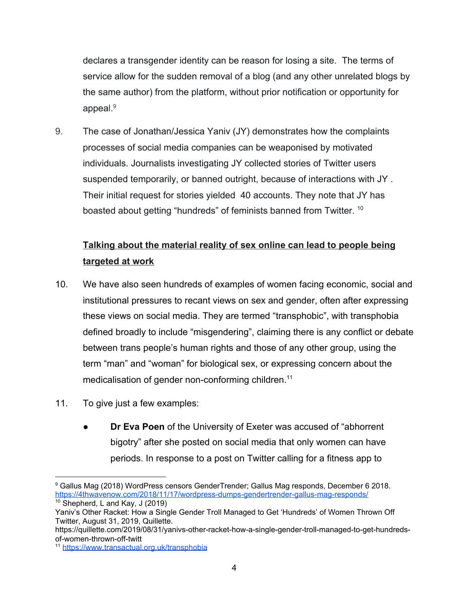declares a transgender identity can be reason for losing a site. The terms of service allow for the sudden removal of a blog (and any other unrelated blogs by the same author) from the platform, without prior notification or opportunity for appeal.<sup>9</sup>

9. The case of Jonathan/Jessica Yaniv (JY) demonstrates how the complaints processes of social media companies can be weaponised by motivated individuals. Journalists investigating JY collected stories of Twitter users suspended temporarily, or banned outright, because of interactions with JY . Their initial request for stories yielded 40 accounts. They note that JY has boasted about getting "[hundreds](https://medium.com/@rogerdubar/a-letter-to-twitter-about-bans-ede8de958034)" of feminists banned from Twitter. <sup>10</sup>

# **Talking about the material reality of sex online can lead to people being targeted at work**

- 10. We have also seen hundreds of examples of women facing economic, social and institutional pressures to recant views on sex and gender, often after expressing these views on social media. They are termed "transphobic", with transphobia defined broadly to include "misgendering", claiming there is any conflict or debate between trans people's human rights and those of any other group, using the term "man" and "woman" for biological sex, or expressing concern about the medicalisation of gender non-conforming children. 11
- 11. To give just a few examples:
	- **Dr Eva Poen** of the University of Exeter was accused of "abhorrent bigotry" after she posted on social media that only women can have periods. In response to a post on Twitter calling for a fitness app to

<sup>9</sup> Gallus Mag (2018) WordPress censors GenderTrender; Gallus Mag responds, December 6 2018. <https://4thwavenow.com/2018/11/17/wordpress-dumps-gendertrender-gallus-mag-responds/>  $10$  [Shepherd,](https://quillette.com/author/lindsay-shepherd-and-jonathan-kay/) L and Kay, J (2019)

Yaniv's Other Racket: How a Single Gender Troll Managed to Get 'Hundreds' of Women Thrown Off Twitter, [August](https://quillette.com/2019/08/31/yanivs-other-racket-how-a-single-gender-troll-managed-to-get-hundreds-of-women-thrown-off-twitter/) 31, 2019, Quillette.

[https://quillette.com/2019/08/31/yanivs-other-racket-how-a-single-gender-troll-managed-to-get-hundreds](https://quillette.com/2019/08/31/yanivs-other-racket-how-a-single-gender-troll-managed-to-get-hundreds-of-women-thrown-off-twitter/)[of-women-thrown-off-twitt](https://quillette.com/2019/08/31/yanivs-other-racket-how-a-single-gender-troll-managed-to-get-hundreds-of-women-thrown-off-twitter/)

<sup>11</sup> <https://www.transactual.org.uk/transphobia>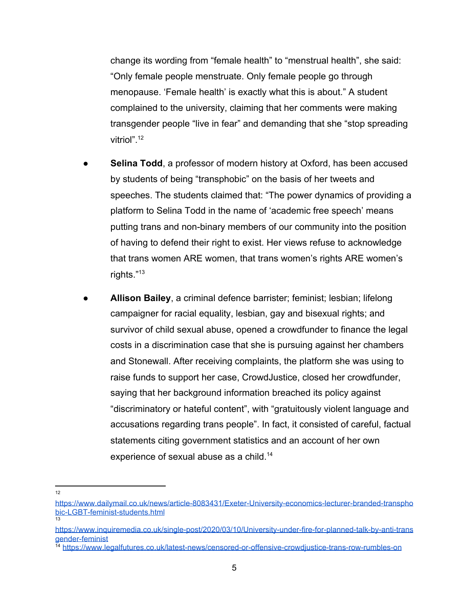change its wording from "female health" to "menstrual health", she said: "Only female people menstruate. Only female people go through menopause. 'Female health' is exactly what this is about." A student complained to the university, claiming that her comments were making transgender people "live in fear" and demanding that she "stop spreading vitriol".<sup>12</sup>

- **Selina Todd**, a professor of modern history at Oxford, has been accused by students of being "transphobic" on the basis of her tweets and speeches. The students claimed that: "The power dynamics of providing a platform to Selina Todd in the name of 'academic free speech' means putting trans and non-binary members of our community into the position of having to defend their right to exist. Her views refuse to acknowledge that trans women ARE women, that trans women's rights ARE women's rights."<sup>13</sup>
- **Allison Bailey**, a criminal defence barrister; feminist; lesbian; lifelong campaigner for racial equality, lesbian, gay and bisexual rights; and survivor of child sexual abuse, opened a crowdfunder to finance the legal costs in a discrimination case that she is pursuing against her chambers and Stonewall. After receiving complaints, the platform she was using to raise funds to support her case, CrowdJustice, closed her crowdfunder, saying that her background information breached its policy against "discriminatory or hateful content", with "gratuitously violent language and accusations regarding trans people". In fact, it consisted of careful, factual statements citing government statistics and an account of her own experience of sexual abuse as a child.<sup>14</sup>
- 12

[https://www.dailymail.co.uk/news/article-8083431/Exeter-University-economics-lecturer-branded-transpho](https://www.dailymail.co.uk/news/article-8083431/Exeter-University-economics-lecturer-branded-transphobic-LGBT-feminist-students.html) [bic-LGBT-feminist-students.html](https://www.dailymail.co.uk/news/article-8083431/Exeter-University-economics-lecturer-branded-transphobic-LGBT-feminist-students.html) 13

[https://www.inquiremedia.co.uk/single-post/2020/03/10/University-under-fire-for-planned-talk-by-anti-trans](https://www.inquiremedia.co.uk/single-post/2020/03/10/University-under-fire-for-planned-talk-by-anti-transgender-feminist) [gender-feminist](https://www.inquiremedia.co.uk/single-post/2020/03/10/University-under-fire-for-planned-talk-by-anti-transgender-feminist)

<sup>&</sup>lt;sup>14</sup> https://www.legalfutures.co.uk/latest-news/censored-or-offensive-crowdiustice-trans-row-rumbles-on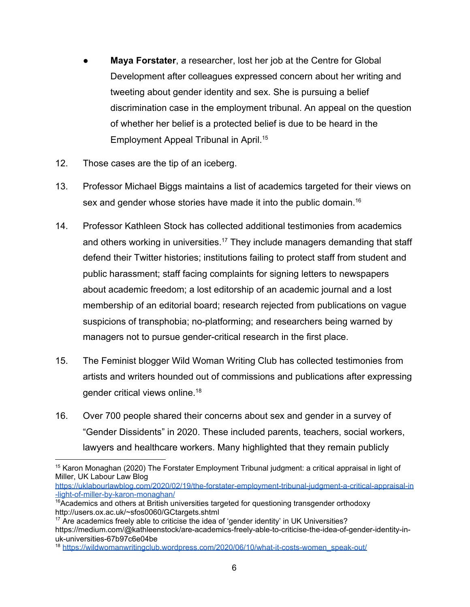- **Maya Forstater**, a researcher, lost her job at the Centre for Global Development after colleagues expressed concern about her writing and tweeting about gender identity and sex. She is pursuing a belief discrimination case in the employment tribunal. An appeal on the question of whether her belief is a protected belief is due to be heard in the Employment Appeal Tribunal in April.<sup>15</sup>
- 12. Those cases are the tip of an iceberg.
- 13. Professor Michael Biggs maintains a list of academics targeted for their views on sex and gender whose stories have made it into the public domain.<sup>16</sup>
- 14. Professor Kathleen Stock has collected additional testimonies from academics and others working in universities.<sup>17</sup> They include managers demanding that staff defend their Twitter histories; institutions failing to protect staff from student and public harassment; staff facing complaints for signing letters to newspapers about academic freedom; a lost editorship of an academic journal and a lost membership of an editorial board; research rejected from publications on vague suspicions of transphobia; no-platforming; and researchers being warned by managers not to pursue gender-critical research in the first place.
- 15. The Feminist blogger Wild Woman Writing Club has collected testimonies from artists and writers hounded out of commissions and publications after expressing gender critical views online.<sup>18</sup>
- 16. Over 700 people shared their concerns about sex and gender in a survey of "Gender Dissidents" in 2020. These included parents, teachers, social workers, lawyers and healthcare workers. Many highlighted that they remain publicly

[https://uklabourlawblog.com/2020/02/19/the-forstater-employment-tribunal-judgment-a-critical-appraisal-in](https://uklabourlawblog.com/2020/02/19/the-forstater-employment-tribunal-judgment-a-critical-appraisal-in-light-of-miller-by-karon-monaghan/) [-light-of-miller-by-karon-monaghan/](https://uklabourlawblog.com/2020/02/19/the-forstater-employment-tribunal-judgment-a-critical-appraisal-in-light-of-miller-by-karon-monaghan/)

<sup>&</sup>lt;sup>15</sup> Karon Monaghan (2020) The Forstater Employment Tribunal judgment: a critical appraisal in light of Miller, UK Labour Law Blog

 $16$ Academics and others at British universities targeted for questioning transgender orthodoxy <http://users.ox.ac.uk/~sfos0060/GCtargets.shtml>

<sup>&</sup>lt;sup>17</sup> Are academics freely able to criticise the idea of 'gender identity' in UK Universities? [https://medium.com/@kathleenstock/are-academics-freely-able-to-criticise-the-idea-of-gender-identity-in](https://medium.com/@kathleenstock/are-academics-freely-able-to-criticise-the-idea-of-gender-identity-in-uk-universities-67b97c6e04be)[uk-universities-67b97c6e04be](https://medium.com/@kathleenstock/are-academics-freely-able-to-criticise-the-idea-of-gender-identity-in-uk-universities-67b97c6e04be)

<sup>&</sup>lt;sup>18</sup> [https://wildwomanwritingclub.wordpress.com/2020/06/10/what-it-costs-women\\_speak-out/](https://wildwomanwritingclub.wordpress.com/2020/06/10/what-it-costs-women_speak-out/)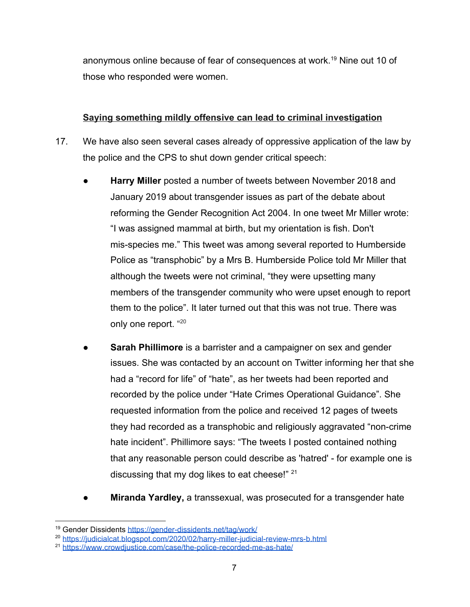anonymous online because of fear of consequences at work.<sup>19</sup> Nine out 10 of those who responded were women.

### **Saying something mildly offensive can lead to criminal investigation**

- 17. We have also seen several cases already of oppressive application of the law by the police and the CPS to shut down gender critical speech:
	- Harry Miller posted a number of tweets between November 2018 and January 2019 about transgender issues as part of the debate about reforming the Gender Recognition Act 2004. In one tweet Mr Miller wrote: "I was assigned mammal at birth, but my orientation is fish. Don't mis-species me." This tweet was among several reported to Humberside Police as "transphobic" by a Mrs B. Humberside Police told Mr Miller that although the tweets were not criminal, "they were upsetting many members of the transgender community who were upset enough to report them to the police". It later turned out that this was not true. There was only one report. "20
	- **Sarah Phillimore** is a barrister and a campaigner on sex and gender issues. She was contacted by an account on Twitter informing her that she had a "record for life" of "hate", as her tweets had been reported and recorded by the police under "Hate Crimes Operational Guidance". She requested information from the police and received 12 pages of tweets they had recorded as a transphobic and religiously aggravated "non-crime hate incident". Phillimore says: "The tweets I posted contained nothing that any reasonable person could describe as 'hatred' - for example one is discussing that my dog likes to eat cheese!"  $21$
	- **Miranda Yardley, a transsexual, was prosecuted for a transgender hate**

<sup>&</sup>lt;sup>19</sup> Gender Dissidents <https://gender-dissidents.net/tag/work/>

<sup>20</sup> <https://judicialcat.blogspot.com/2020/02/harry-miller-judicial-review-mrs-b.html>

<sup>&</sup>lt;sup>21</sup> https://www.crowdiustice.com/case/the-police-recorded-me-as-hate/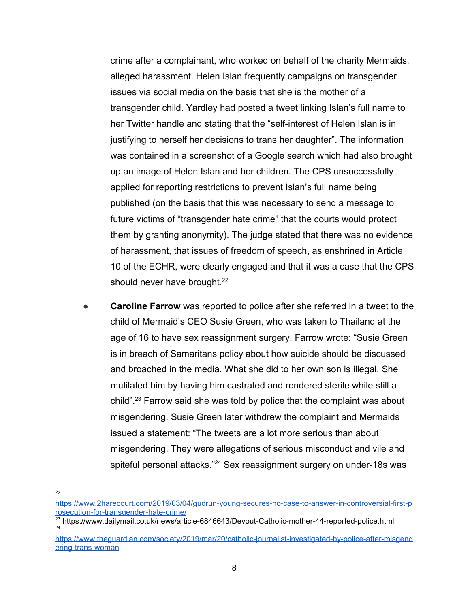crime after a complainant, who worked on behalf of the charity Mermaids, alleged harassment. Helen Islan frequently campaigns on transgender issues via social media on the basis that she is the mother of a transgender child. Yardley had posted a tweet linking Islan's full name to her Twitter handle and stating that the "self-interest of Helen Islan is in justifying to herself her decisions to trans her daughter". The information was contained in a screenshot of a Google search which had also brought up an image of Helen Islan and her children. The CPS unsuccessfully applied for reporting restrictions to prevent Islan's full name being published (on the basis that this was necessary to send a message to future victims of "transgender hate crime" that the courts would protect them by granting anonymity). The judge stated that there was no evidence of harassment, that issues of freedom of speech, as enshrined in Article 10 of the ECHR, were clearly engaged and that it was a case that the CPS should never have brought.<sup>22</sup>

- **Caroline Farrow** was reported to police after she referred in a tweet to the child of Mermaid's CEO Susie Green, who was taken to Thailand at the age of 16 to have sex reassignment surgery. Farrow wrote: "Susie Green is in breach of Samaritans policy about how suicide should be discussed and broached in the media. What she did to her own son is illegal. She mutilated him by having him castrated and rendered sterile while still a child".<sup>23</sup> Farrow said she was told by police that the complaint was about misgendering. Susie Green later withdrew the complaint and Mermaids issued a statement: "The tweets are a lot more serious than about misgendering. They were allegations of serious misconduct and vile and spiteful personal attacks."<sup>24</sup> Sex reassignment surgery on under-18s was
- $22$

[https://www.2harecourt.com/2019/03/04/gudrun-young-secures-no-case-to-answer-in-controversial-first-p](https://www.2harecourt.com/2019/03/04/gudrun-young-secures-no-case-to-answer-in-controversial-first-prosecution-for-transgender-hate-crime/) [rosecution-for-transgender-hate-crime/](https://www.2harecourt.com/2019/03/04/gudrun-young-secures-no-case-to-answer-in-controversial-first-prosecution-for-transgender-hate-crime/)

<sup>&</sup>lt;sup>23</sup> https://www.dailymail.co.uk/news/article-6846643/Devout-Catholic-mother-44-reported-police.html 24

[https://www.theguardian.com/society/2019/mar/20/catholic-journalist-investigated-by-police-after-misgend](https://www.theguardian.com/society/2019/mar/20/catholic-journalist-investigated-by-police-after-misgendering-trans-woman) [ering-trans-woman](https://www.theguardian.com/society/2019/mar/20/catholic-journalist-investigated-by-police-after-misgendering-trans-woman)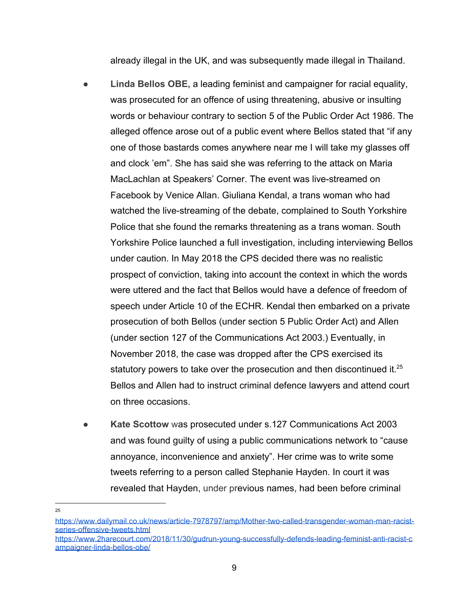already illegal in the UK, and was subsequently made illegal in Thailand.

- **Linda Bellos OBE,** a leading feminist and campaigner for racial equality, was prosecuted for an offence of using threatening, abusive or insulting words or behaviour contrary to section 5 of the Public Order Act 1986. The alleged offence arose out of a public event where Bellos stated that "if any one of those bastards comes anywhere near me I will take my glasses off and clock 'em". She has said she was referring to the attack on Maria MacLachlan at Speakers' Corner. The event was live-streamed on Facebook by Venice Allan. Giuliana Kendal, a trans woman who had watched the live-streaming of the debate, complained to South Yorkshire Police that she found the remarks threatening as a trans woman. South Yorkshire Police launched a full investigation, including interviewing Bellos under caution. In May 2018 the CPS decided there was no realistic prospect of conviction, taking into account the context in which the words were uttered and the fact that Bellos would have a defence of freedom of speech under Article 10 of the ECHR. Kendal then embarked on a private prosecution of both Bellos (under section 5 Public Order Act) and Allen (under section 127 of the Communications Act 2003.) Eventually, in November 2018, the case was dropped after the CPS exercised its statutory powers to take over the prosecution and then discontinued it. $25$ Bellos and Allen had to instruct criminal defence lawyers and attend court on three occasions.
- **Kate Scottow** was prosecuted under s.127 Communications Act 2003 and was found guilty of using a public communications network to "cause annoyance, inconvenience and anxiety". Her crime was to write some tweets referring to a person called Stephanie Hayden. In court it was revealed that Hayden, under previous names, had been before criminal

[https://www.2harecourt.com/2018/11/30/gudrun-young-successfully-defends-leading-feminist-anti-racist-c](https://www.2harecourt.com/2018/11/30/gudrun-young-successfully-defends-leading-feminist-anti-racist-campaigner-linda-bellos-obe/) [ampaigner-linda-bellos-obe/](https://www.2harecourt.com/2018/11/30/gudrun-young-successfully-defends-leading-feminist-anti-racist-campaigner-linda-bellos-obe/)

<sup>25</sup>

[https://www.dailymail.co.uk/news/article-7978797/amp/Mother-two-called-transgender-woman-man-racist](https://www.dailymail.co.uk/news/article-7978797/amp/Mother-two-called-transgender-woman-man-racist-series-offensive-tweets.html)[series-offensive-tweets.html](https://www.dailymail.co.uk/news/article-7978797/amp/Mother-two-called-transgender-woman-man-racist-series-offensive-tweets.html)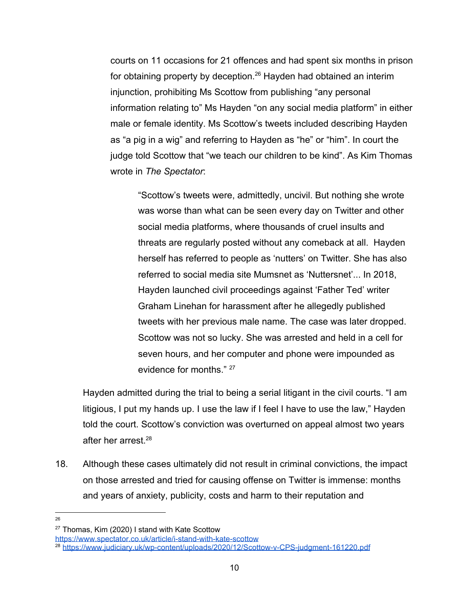courts on 11 occasions for 21 offences and had spent six months in prison for obtaining property by deception. $26$  Hayden had obtained an interim injunction, prohibiting Ms Scottow from publishing "any personal information relating to" Ms Hayden "on any social media platform" in either male or female identity. Ms Scottow's tweets included describing Hayden as "a pig in a wig" and referring to Hayden as "he" or "him". In court the judge told Scottow that "we teach our children to be kind". As Kim Thomas wrote in *The Spectator*:

"Scottow's tweets were, admittedly, uncivil. But nothing she wrote was worse than what can be seen every day on Twitter and other social media platforms, where thousands of cruel insults and threats are regularly posted without any comeback at all. Hayden herself has referred to people as 'nutters' on Twitter. She has also referred to social media site Mumsnet as 'Nuttersnet'... In 2018, Hayden launched civil proceedings against 'Father Ted' writer Graham Linehan for harassment after he allegedly published tweets with her previous male name. The case was later dropped. Scottow was not so lucky. She was arrested and held in a cell for seven hours, and her computer and phone were impounded as evidence for months." <sup>27</sup>

Hayden admitted during the trial to being a serial litigant in the civil courts. "I am litigious, I put my hands up. I use the law if I feel I have to use the law," Hayden told the court. Scottow's conviction was overturned on appeal almost two years after her arrest.<sup>28</sup>

- 18. Although these cases ultimately did not result in criminal convictions, the impact on those arrested and tried for causing offense on Twitter is immense: months and years of anxiety, publicity, costs and harm to their reputation and
- 26

<https://www.spectator.co.uk/article/i-stand-with-kate-scottow>

<sup>&</sup>lt;sup>27</sup> Thomas, Kim (2020) I stand with Kate Scottow

<sup>28</sup> <https://www.judiciary.uk/wp-content/uploads/2020/12/Scottow-v-CPS-judgment-161220.pdf>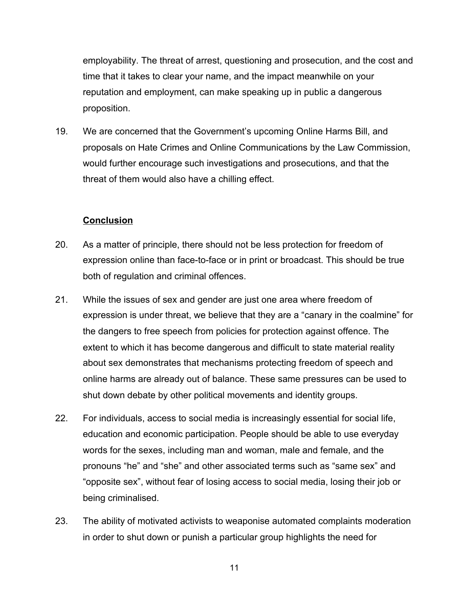employability. The threat of arrest, questioning and prosecution, and the cost and time that it takes to clear your name, and the impact meanwhile on your reputation and employment, can make speaking up in public a dangerous proposition.

19. We are concerned that the Government's upcoming Online Harms Bill, and proposals on Hate Crimes and Online Communications by the Law Commission, would further encourage such investigations and prosecutions, and that the threat of them would also have a chilling effect.

#### **Conclusion**

- 20. As a matter of principle, there should not be less protection for freedom of expression online than face-to-face or in print or broadcast. This should be true both of regulation and criminal offences.
- 21. While the issues of sex and gender are just one area where freedom of expression is under threat, we believe that they are a "canary in the coalmine" for the dangers to free speech from policies for protection against offence. The extent to which it has become dangerous and difficult to state material reality about sex demonstrates that mechanisms protecting freedom of speech and online harms are already out of balance. These same pressures can be used to shut down debate by other political movements and identity groups.
- 22. For individuals, access to social media is increasingly essential for social life, education and economic participation. People should be able to use everyday words for the sexes, including man and woman, male and female, and the pronouns "he" and "she" and other associated terms such as "same sex" and "opposite sex", without fear of losing access to social media, losing their job or being criminalised.
- 23. The ability of motivated activists to weaponise automated complaints moderation in order to shut down or punish a particular group highlights the need for